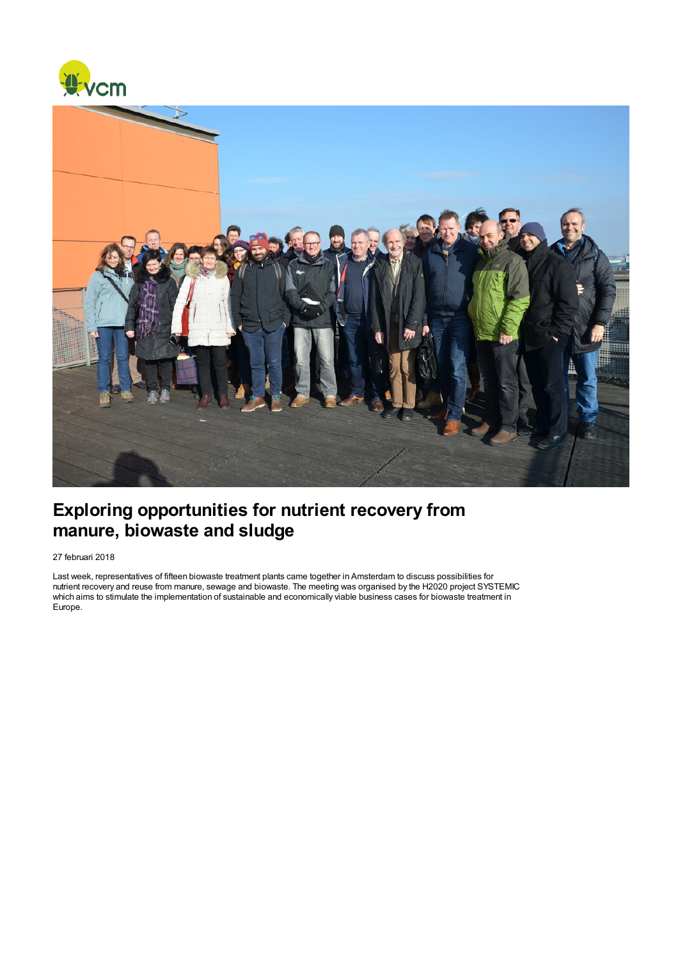



## Exploring opportunities for nutrient recovery from manure, biowaste and sludge

27 februari 2018

Last week, representatives of fifteen biowaste treatment plants came together in Amsterdam to discuss possibilities for nutrient recovery and reuse from manure, sewage and biowaste. The meeting was organised by the H2020 project SYSTEMIC which aims to stimulate the implementation of sustainable and economically viable business cases for biowaste treatment in Europe.